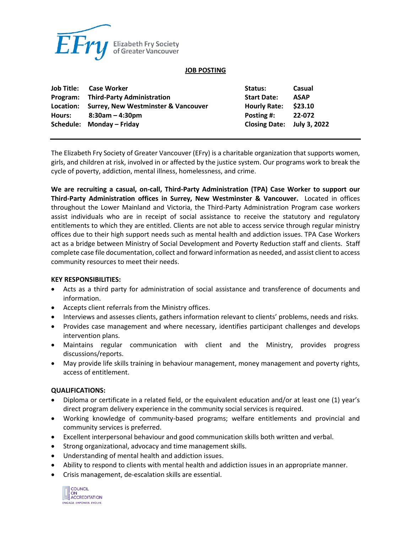

### **JOB POSTING**

| Job Title: Case Worker                        | Status:             | Casual                                                  |
|-----------------------------------------------|---------------------|---------------------------------------------------------|
| Program: Third-Party Administration           | <b>Start Date:</b>  | <b>ASAP</b>                                             |
| Location: Surrey, New Westminster & Vancouver | <b>Hourly Rate:</b> | \$23.10                                                 |
| Hours: $8:30am-4:30pm$                        | Posting #:          | 22-072                                                  |
|                                               |                     |                                                         |
|                                               |                     | Closing Date: July 3, 2022<br>Schedule: Monday – Friday |

The Elizabeth Fry Society of Greater Vancouver (EFry) is a charitable organization that supports women, girls, and children at risk, involved in or affected by the justice system. Our programs work to break the cycle of poverty, addiction, mental illness, homelessness, and crime.

**We are recruiting a casual, on-call, Third-Party Administration (TPA) Case Worker to support our Third-Party Administration offices in Surrey, New Westminster & Vancouver.** Located in offices throughout the Lower Mainland and Victoria, the Third-Party Administration Program case workers assist individuals who are in receipt of social assistance to receive the statutory and regulatory entitlements to which they are entitled. Clients are not able to access service through regular ministry offices due to their high support needs such as mental health and addiction issues. TPA Case Workers act as a bridge between Ministry of Social Development and Poverty Reduction staff and clients. Staff complete case file documentation, collect and forward information as needed, and assist client to access community resources to meet their needs.

### **KEY RESPONSIBILITIES:**

- Acts as a third party for administration of social assistance and transference of documents and information.
- Accepts client referrals from the Ministry offices.
- Interviews and assesses clients, gathers information relevant to clients' problems, needs and risks.
- Provides case management and where necessary, identifies participant challenges and develops intervention plans.
- Maintains regular communication with client and the Ministry, provides progress discussions/reports.
- May provide life skills training in behaviour management, money management and poverty rights, access of entitlement.

### **QUALIFICATIONS:**

- Diploma or certificate in a related field, or the equivalent education and/or at least one (1) year's direct program delivery experience in the community social services is required.
- Working knowledge of community-based programs; welfare entitlements and provincial and community services is preferred.
- Excellent interpersonal behaviour and good communication skills both written and verbal.
- Strong organizational, advocacy and time management skills.
- Understanding of mental health and addiction issues.
- Ability to respond to clients with mental health and addiction issues in an appropriate manner.
- Crisis management, de-escalation skills are essential.